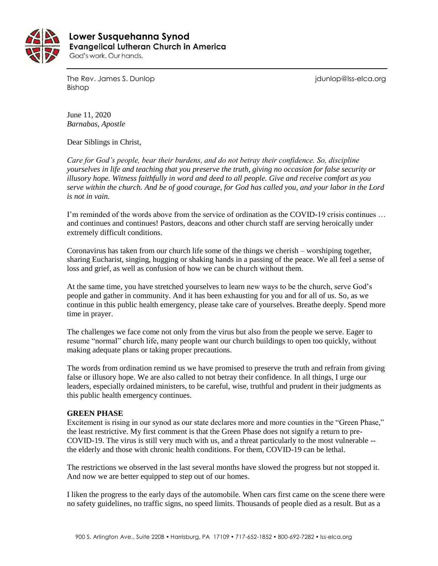

 **Lower Susquehanna SynodEvangelical Lutheran Church in America** God's work. Our hands.

The Rev. James S. Dunlop journalism is a state of the Rev. James S. Dunlop is a state of the Rev. James S. Dunlop Bishop

June 11, 2020 *Barnabas, Apostle*

Dear Siblings in Christ,

*Care for God's people, bear their burdens, and do not betray their confidence. So, discipline yourselves in life and teaching that you preserve the truth, giving no occasion for false security or illusory hope. Witness faithfully in word and deed to all people. Give and receive comfort as you serve within the church. And be of good courage, for God has called you, and your labor in the Lord is not in vain.*

I'm reminded of the words above from the service of ordination as the COVID-19 crisis continues … and continues and continues! Pastors, deacons and other church staff are serving heroically under extremely difficult conditions.

Coronavirus has taken from our church life some of the things we cherish – worshiping together, sharing Eucharist, singing, hugging or shaking hands in a passing of the peace. We all feel a sense of loss and grief, as well as confusion of how we can be church without them.

At the same time, you have stretched yourselves to learn new ways to be the church, serve God's people and gather in community. And it has been exhausting for you and for all of us. So, as we continue in this public health emergency, please take care of yourselves. Breathe deeply. Spend more time in prayer.

The challenges we face come not only from the virus but also from the people we serve. Eager to resume "normal" church life, many people want our church buildings to open too quickly, without making adequate plans or taking proper precautions.

The words from ordination remind us we have promised to preserve the truth and refrain from giving false or illusory hope. We are also called to not betray their confidence. In all things, I urge our leaders, especially ordained ministers, to be careful, wise, truthful and prudent in their judgments as this public health emergency continues.

### **GREEN PHASE**

Excitement is rising in our synod as our state declares more and more counties in the "Green Phase," the least restrictive. My first comment is that the Green Phase does not signify a return to pre-COVID-19. The virus is still very much with us, and a threat particularly to the most vulnerable - the elderly and those with chronic health conditions. For them, COVID-19 can be lethal.

The restrictions we observed in the last several months have slowed the progress but not stopped it. And now we are better equipped to step out of our homes.

I liken the progress to the early days of the automobile. When cars first came on the scene there were no safety guidelines, no traffic signs, no speed limits. Thousands of people died as a result. But as a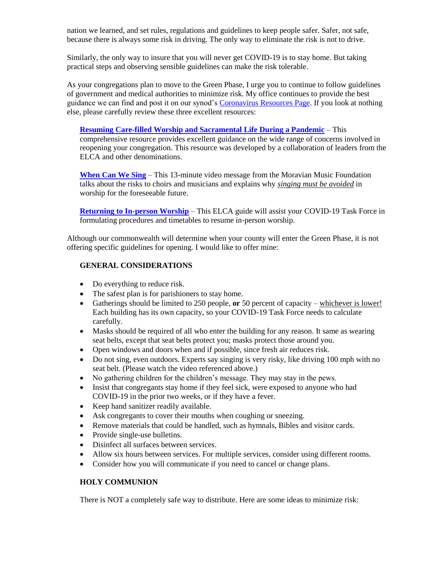nation we learned, and set rules, regulations and guidelines to keep people safer. Safer, not safe, because there is always some risk in driving. The only way to eliminate the risk is not to drive.

Similarly, the only way to insure that you will never get COVID-19 is to stay home. But taking practical steps and observing sensible guidelines can make the risk tolerable.

As your congregations plan to move to the Green Phase, I urge you to continue to follow guidelines of government and medical authorities to minimize risk. My office continues to provide the best guidance we can find and post it on our synod's [Coronavirus Resources Page.](https://www.lss-elca.org/coronavirus/) If you look at nothing else, please carefully review these three excellent resources:

**[Resuming Care-filled Worship and Sacramental Life During a Pandemic](https://www.lss-elca.org/wp-content/uploads/2006_Resuming-Care-filled-Worship-and-Sacramental-Life.pdf)** – This comprehensive resource provides excellent guidance on the wide range of concerns involved in reopening your congregation. This resource was developed by a collaboration of leaders from the ELCA and other denominations.

**[When Can We Sing](https://www.youtube.com/watch?v=LNzGkflAkZQ)** – This 13-minute video message from the Moravian Music Foundation talks about the risks to choirs and musicians and explains why *singing must be avoided* in worship for the foreseeable future.

**[Returning to In-person Worship](https://www.lss-elca.org/wp-content/uploads/Returning-to-In-person-Worship.pdf)** – This ELCA guide will assist your COVID-19 Task Force in formulating procedures and timetables to resume in-person worship.

Although our commonwealth will determine when your county will enter the Green Phase, it is not offering specific guidelines for opening. I would like to offer mine:

## **GENERAL CONSIDERATIONS**

- Do everything to reduce risk.
- The safest plan is for parishioners to stay home.
- Gatherings should be limited to 250 people, **or** 50 percent of capacity whichever is lower! Each building has its own capacity, so your COVID-19 Task Force needs to calculate carefully.
- Masks should be required of all who enter the building for any reason. It same as wearing seat belts, except that seat belts protect you; masks protect those around you.
- Open windows and doors when and if possible, since fresh air reduces risk.
- Do not sing, even outdoors. Experts say singing is very risky, like driving 100 mph with no seat belt. (Please watch the video referenced above.)
- No gathering children for the children's message. They may stay in the pews.
- Insist that congregants stay home if they feel sick, were exposed to anyone who had COVID-19 in the prior two weeks, or if they have a fever.
- Keep hand sanitizer readily available.
- Ask congregants to cover their mouths when coughing or sneezing.
- Remove materials that could be handled, such as hymnals, Bibles and visitor cards.
- Provide single-use bulletins.
- Disinfect all surfaces between services.
- Allow six hours between services. For multiple services, consider using different rooms.
- Consider how you will communicate if you need to cancel or change plans.

### **HOLY COMMUNION**

There is NOT a completely safe way to distribute. Here are some ideas to minimize risk: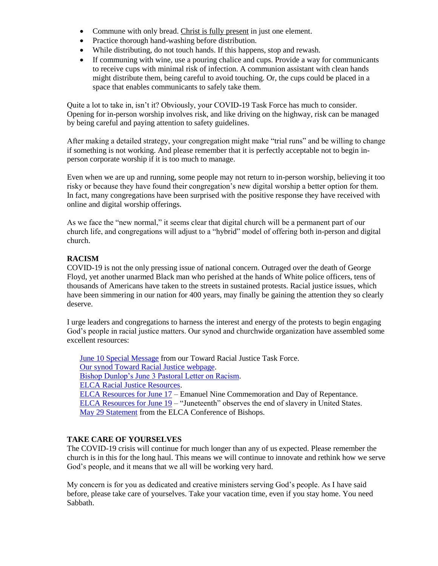- Commune with only bread. Christ is fully present in just one element.
- Practice thorough hand-washing before distribution.
- While distributing, do not touch hands. If this happens, stop and rewash.
- If communing with wine, use a pouring chalice and cups. Provide a way for communicants to receive cups with minimal risk of infection. A communion assistant with clean hands might distribute them, being careful to avoid touching. Or, the cups could be placed in a space that enables communicants to safely take them.

Quite a lot to take in, isn't it? Obviously, your COVID-19 Task Force has much to consider. Opening for in-person worship involves risk, and like driving on the highway, risk can be managed by being careful and paying attention to safety guidelines.

After making a detailed strategy, your congregation might make "trial runs" and be willing to change if something is not working. And please remember that it is perfectly acceptable not to begin inperson corporate worship if it is too much to manage.

Even when we are up and running, some people may not return to in-person worship, believing it too risky or because they have found their congregation's new digital worship a better option for them. In fact, many congregations have been surprised with the positive response they have received with online and digital worship offerings.

As we face the "new normal," it seems clear that digital church will be a permanent part of our church life, and congregations will adjust to a "hybrid" model of offering both in-person and digital church.

# **RACISM**

COVID-19 is not the only pressing issue of national concern. Outraged over the death of George Floyd, yet another unarmed Black man who perished at the hands of White police officers, tens of thousands of Americans have taken to the streets in sustained protests. Racial justice issues, which have been simmering in our nation for 400 years, may finally be gaining the attention they so clearly deserve.

I urge leaders and congregations to harness the interest and energy of the protests to begin engaging God's people in racial justice matters. Our synod and churchwide organization have assembled some excellent resources:

[June 10 Special Message](https://www.lss-elca.org/wp-content/uploads/A-Special-Message-from-the-LSS-Toward-Racial-Justice-Task-Force-June-10-2020.pdf) from our Toward Racial Justice Task Force. [Our synod Toward Racial Justice webpage.](https://www.lss-elca.org/rostered-ministers/toward-racial-justice/) [Bishop Dunlop's June 3 Pastoral Letter on Racism.](https://myemail.constantcontact.com/A-Pastoral-Message-on-Racism-from-Bishop-Dunlop---06-3-2020.html?soid=1101823335217&aid=llM6zH1_hwM) [ELCA Racial Justice Resources.](https://elca.org/Resources/Racial-Justice) [ELCA Resources for June 17](https://www.elca.org/emanuelnine) – Emanuel Nine Commemoration and Day of Repentance. [ELCA Resources for June 19](https://download.elca.org/ELCA%20Resource%20Repository/Juneteenth_observance_0619.pdf) – "Juneteenth" observes the end of slavery in United States. [May 29 Statement](https://www.lss-elca.org/wp-content/uploads/200529_COB_Racism_Statement.pdf) from the ELCA Conference of Bishops.

# **TAKE CARE OF YOURSELVES**

The COVID-19 crisis will continue for much longer than any of us expected. Please remember the church is in this for the long haul. This means we will continue to innovate and rethink how we serve God's people, and it means that we all will be working very hard.

My concern is for you as dedicated and creative ministers serving God's people. As I have said before, please take care of yourselves. Take your vacation time, even if you stay home. You need Sabbath.